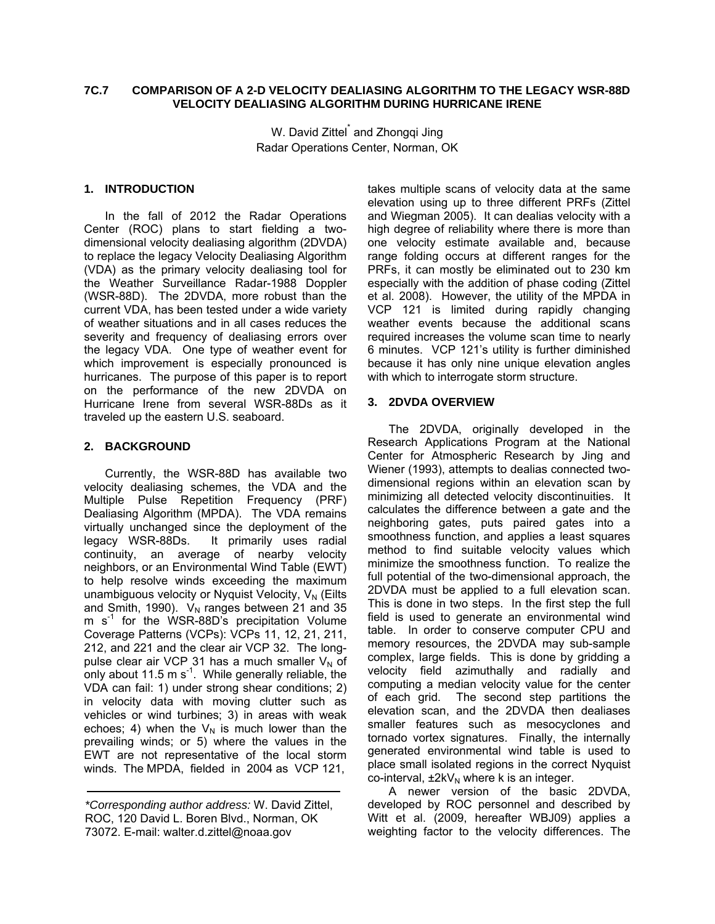## **7C.7 COMPARISON OF A 2-D VELOCITY DEALIASING ALGORITHM TO THE LEGACY WSR-88D VELOCITY DEALIASING ALGORITHM DURING HURRICANE IRENE**

W. David Zittel<sup>\*</sup> and Zhongqi Jing Radar Operations Center, Norman, OK

## **1. INTRODUCTION**

In the fall of 2012 the Radar Operations Center (ROC) plans to start fielding a twodimensional velocity dealiasing algorithm (2DVDA) to replace the legacy Velocity Dealiasing Algorithm (VDA) as the primary velocity dealiasing tool for the Weather Surveillance Radar-1988 Doppler (WSR-88D). The 2DVDA, more robust than the current VDA, has been tested under a wide variety of weather situations and in all cases reduces the severity and frequency of dealiasing errors over the legacy VDA. One type of weather event for which improvement is especially pronounced is hurricanes. The purpose of this paper is to report on the performance of the new 2DVDA on Hurricane Irene from several WSR-88Ds as it traveled up the eastern U.S. seaboard.

## **2. BACKGROUND**

Currently, the WSR-88D has available two velocity dealiasing schemes, the VDA and the Multiple Pulse Repetition Frequency (PRF) Dealiasing Algorithm (MPDA). The VDA remains virtually unchanged since the deployment of the legacy WSR-88Ds. It primarily uses radial continuity, an average of nearby velocity neighbors, or an Environmental Wind Table (EWT) to help resolve winds exceeding the maximum unambiguous velocity or Nyquist Velocity,  $V_N$  (Eilts and Smith, 1990).  $V_N$  ranges between 21 and 35 m  $s<sup>-1</sup>$  for the WSR-88D's precipitation Volume Coverage Patterns (VCPs): VCPs 11, 12, 21, 211, 212, and 221 and the clear air VCP 32. The longpulse clear air VCP 31 has a much smaller  $V_N$  of only about 11.5 m s<sup>-1</sup>. While generally reliable, the VDA can fail: 1) under strong shear conditions; 2) in velocity data with moving clutter such as vehicles or wind turbines; 3) in areas with weak echoes; 4) when the  $V_N$  is much lower than the prevailing winds; or 5) where the values in the EWT are not representative of the local storm winds. The MPDA, fielded in 2004 as VCP 121,

takes multiple scans of velocity data at the same elevation using up to three different PRFs (Zittel and Wiegman 2005). It can dealias velocity with a high degree of reliability where there is more than one velocity estimate available and, because range folding occurs at different ranges for the PRFs, it can mostly be eliminated out to 230 km especially with the addition of phase coding (Zittel et al. 2008). However, the utility of the MPDA in VCP 121 is limited during rapidly changing weather events because the additional scans required increases the volume scan time to nearly 6 minutes. VCP 121's utility is further diminished because it has only nine unique elevation angles with which to interrogate storm structure.

## **3. 2DVDA OVERVIEW**

The 2DVDA, originally developed in the Research Applications Program at the National Center for Atmospheric Research by Jing and Wiener (1993), attempts to dealias connected twodimensional regions within an elevation scan by minimizing all detected velocity discontinuities. It calculates the difference between a gate and the neighboring gates, puts paired gates into a smoothness function, and applies a least squares method to find suitable velocity values which minimize the smoothness function. To realize the full potential of the two-dimensional approach, the 2DVDA must be applied to a full elevation scan. This is done in two steps. In the first step the full field is used to generate an environmental wind table. In order to conserve computer CPU and memory resources, the 2DVDA may sub-sample complex, large fields. This is done by gridding a velocity field azimuthally and radially and computing a median velocity value for the center of each grid. The second step partitions the elevation scan, and the 2DVDA then dealiases smaller features such as mesocyclones and tornado vortex signatures. Finally, the internally generated environmental wind table is used to place small isolated regions in the correct Nyquist co-interval,  $\pm 2kV_N$  where k is an integer.

A newer version of the basic 2DVDA, developed by ROC personnel and described by Witt et al. (2009, hereafter WBJ09) applies a weighting factor to the velocity differences. The

*<sup>\*</sup>Corresponding author address:* W. David Zittel, ROC, 120 David L. Boren Blvd., Norman, OK 73072. E-mail: walter.d.zittel@noaa.gov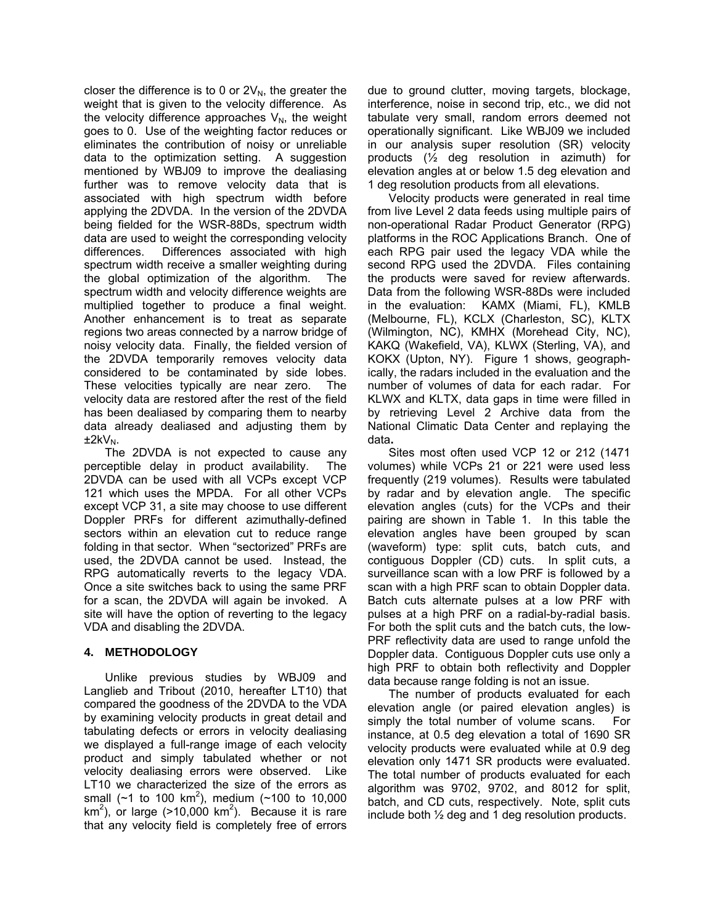closer the difference is to 0 or  $2V_N$ , the greater the weight that is given to the velocity difference. As the velocity difference approaches  $V_N$ , the weight goes to 0. Use of the weighting factor reduces or eliminates the contribution of noisy or unreliable data to the optimization setting. A suggestion mentioned by WBJ09 to improve the dealiasing further was to remove velocity data that is associated with high spectrum width before applying the 2DVDA. In the version of the 2DVDA being fielded for the WSR-88Ds, spectrum width data are used to weight the corresponding velocity differences. Differences associated with high spectrum width receive a smaller weighting during the global optimization of the algorithm. The spectrum width and velocity difference weights are multiplied together to produce a final weight. Another enhancement is to treat as separate regions two areas connected by a narrow bridge of noisy velocity data. Finally, the fielded version of the 2DVDA temporarily removes velocity data considered to be contaminated by side lobes. These velocities typically are near zero. The velocity data are restored after the rest of the field has been dealiased by comparing them to nearby data already dealiased and adjusting them by  $±2kV_N.$ 

The 2DVDA is not expected to cause any perceptible delay in product availability. The 2DVDA can be used with all VCPs except VCP 121 which uses the MPDA. For all other VCPs except VCP 31, a site may choose to use different Doppler PRFs for different azimuthally-defined sectors within an elevation cut to reduce range folding in that sector. When "sectorized" PRFs are used, the 2DVDA cannot be used. Instead, the RPG automatically reverts to the legacy VDA. Once a site switches back to using the same PRF for a scan, the 2DVDA will again be invoked. A site will have the option of reverting to the legacy VDA and disabling the 2DVDA.

# **4. METHODOLOGY**

Unlike previous studies by WBJ09 and Langlieb and Tribout (2010, hereafter LT10) that compared the goodness of the 2DVDA to the VDA by examining velocity products in great detail and tabulating defects or errors in velocity dealiasing we displayed a full-range image of each velocity product and simply tabulated whether or not velocity dealiasing errors were observed. Like LT10 we characterized the size of the errors as small ( $\sim$ 1 to 100 km<sup>2</sup>), medium ( $\sim$ 100 to 10,000 km<sup>2</sup>), or large (>10,000 km<sup>2</sup>). Because it is rare that any velocity field is completely free of errors

due to ground clutter, moving targets, blockage, interference, noise in second trip, etc., we did not tabulate very small, random errors deemed not operationally significant. Like WBJ09 we included in our analysis super resolution (SR) velocity products (½ deg resolution in azimuth) for elevation angles at or below 1.5 deg elevation and 1 deg resolution products from all elevations.

Velocity products were generated in real time from live Level 2 data feeds using multiple pairs of non-operational Radar Product Generator (RPG) platforms in the ROC Applications Branch. One of each RPG pair used the legacy VDA while the second RPG used the 2DVDA. Files containing the products were saved for review afterwards. Data from the following WSR-88Ds were included in the evaluation: KAMX (Miami, FL), KMLB (Melbourne, FL), KCLX (Charleston, SC), KLTX (Wilmington, NC), KMHX (Morehead City, NC), KAKQ (Wakefield, VA), KLWX (Sterling, VA), and KOKX (Upton, NY). Figure 1 shows, geographically, the radars included in the evaluation and the number of volumes of data for each radar. For KLWX and KLTX, data gaps in time were filled in by retrieving Level 2 Archive data from the National Climatic Data Center and replaying the data**.** 

Sites most often used VCP 12 or 212 (1471 volumes) while VCPs 21 or 221 were used less frequently (219 volumes). Results were tabulated by radar and by elevation angle. The specific elevation angles (cuts) for the VCPs and their pairing are shown in Table 1. In this table the elevation angles have been grouped by scan (waveform) type: split cuts, batch cuts, and contiguous Doppler (CD) cuts. In split cuts, a surveillance scan with a low PRF is followed by a scan with a high PRF scan to obtain Doppler data. Batch cuts alternate pulses at a low PRF with pulses at a high PRF on a radial-by-radial basis. For both the split cuts and the batch cuts, the low-PRF reflectivity data are used to range unfold the Doppler data. Contiguous Doppler cuts use only a high PRF to obtain both reflectivity and Doppler data because range folding is not an issue.

The number of products evaluated for each elevation angle (or paired elevation angles) is simply the total number of volume scans. For instance, at 0.5 deg elevation a total of 1690 SR velocity products were evaluated while at 0.9 deg elevation only 1471 SR products were evaluated. The total number of products evaluated for each algorithm was 9702, 9702, and 8012 for split, batch, and CD cuts, respectively. Note, split cuts include both ½ deg and 1 deg resolution products.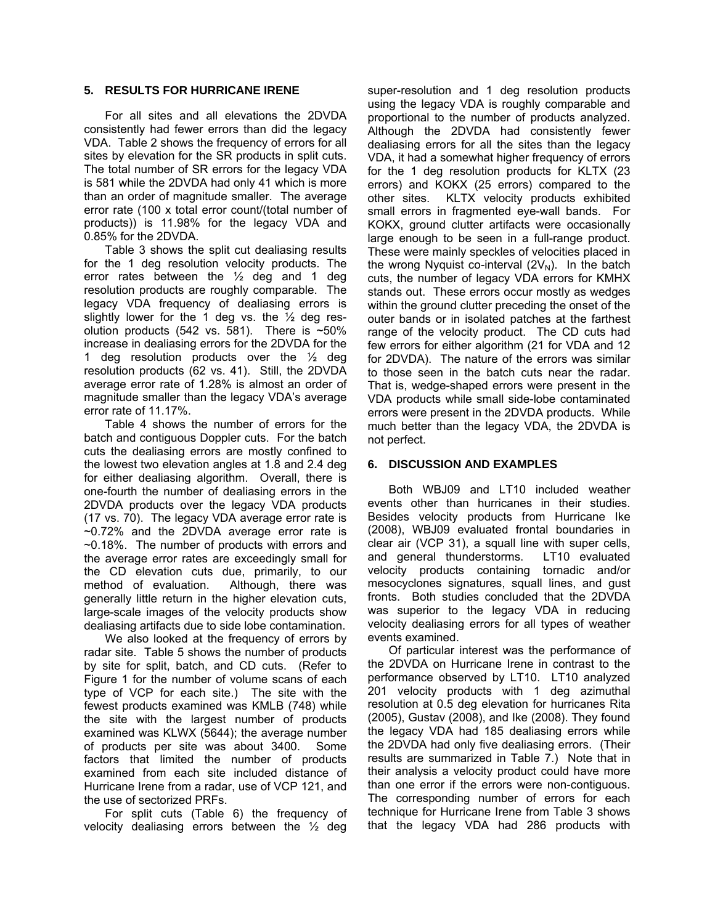#### **5. RESULTS FOR HURRICANE IRENE**

For all sites and all elevations the 2DVDA consistently had fewer errors than did the legacy VDA. Table 2 shows the frequency of errors for all sites by elevation for the SR products in split cuts. The total number of SR errors for the legacy VDA is 581 while the 2DVDA had only 41 which is more than an order of magnitude smaller. The average error rate (100 x total error count/(total number of products)) is 11.98% for the legacy VDA and 0.85% for the 2DVDA.

Table 3 shows the split cut dealiasing results for the 1 deg resolution velocity products. The error rates between the ½ deg and 1 deg resolution products are roughly comparable. The legacy VDA frequency of dealiasing errors is slightly lower for the 1 deg vs. the  $\frac{1}{2}$  deg resolution products (542 vs. 581). There is  $~50\%$ increase in dealiasing errors for the 2DVDA for the 1 deg resolution products over the  $\frac{1}{2}$  deg resolution products (62 vs. 41). Still, the 2DVDA average error rate of 1.28% is almost an order of magnitude smaller than the legacy VDA's average error rate of 11.17%.

Table 4 shows the number of errors for the batch and contiguous Doppler cuts. For the batch cuts the dealiasing errors are mostly confined to the lowest two elevation angles at 1.8 and 2.4 deg for either dealiasing algorithm. Overall, there is one-fourth the number of dealiasing errors in the 2DVDA products over the legacy VDA products (17 vs. 70). The legacy VDA average error rate is ~0.72% and the 2DVDA average error rate is ~0.18%. The number of products with errors and the average error rates are exceedingly small for the CD elevation cuts due, primarily, to our method of evaluation. Although, there was generally little return in the higher elevation cuts, large-scale images of the velocity products show dealiasing artifacts due to side lobe contamination.

We also looked at the frequency of errors by radar site. Table 5 shows the number of products by site for split, batch, and CD cuts. (Refer to Figure 1 for the number of volume scans of each type of VCP for each site.) The site with the fewest products examined was KMLB (748) while the site with the largest number of products examined was KLWX (5644); the average number of products per site was about 3400. Some factors that limited the number of products examined from each site included distance of Hurricane Irene from a radar, use of VCP 121, and the use of sectorized PRFs.

For split cuts (Table 6) the frequency of velocity dealiasing errors between the ½ deg

super-resolution and 1 deg resolution products using the legacy VDA is roughly comparable and proportional to the number of products analyzed. Although the 2DVDA had consistently fewer dealiasing errors for all the sites than the legacy VDA, it had a somewhat higher frequency of errors for the 1 deg resolution products for KLTX (23 errors) and KOKX (25 errors) compared to the other sites. KLTX velocity products exhibited small errors in fragmented eye-wall bands. For KOKX, ground clutter artifacts were occasionally large enough to be seen in a full-range product. These were mainly speckles of velocities placed in the wrong Nyquist co-interval  $(2V<sub>N</sub>)$ . In the batch cuts, the number of legacy VDA errors for KMHX stands out. These errors occur mostly as wedges within the ground clutter preceding the onset of the outer bands or in isolated patches at the farthest range of the velocity product. The CD cuts had few errors for either algorithm (21 for VDA and 12 for 2DVDA). The nature of the errors was similar to those seen in the batch cuts near the radar. That is, wedge-shaped errors were present in the VDA products while small side-lobe contaminated errors were present in the 2DVDA products. While much better than the legacy VDA, the 2DVDA is not perfect.

#### **6. DISCUSSION AND EXAMPLES**

Both WBJ09 and LT10 included weather events other than hurricanes in their studies. Besides velocity products from Hurricane Ike (2008), WBJ09 evaluated frontal boundaries in clear air (VCP 31), a squall line with super cells, and general thunderstorms. LT10 evaluated velocity products containing tornadic and/or mesocyclones signatures, squall lines, and gust fronts. Both studies concluded that the 2DVDA was superior to the legacy VDA in reducing velocity dealiasing errors for all types of weather events examined.

Of particular interest was the performance of the 2DVDA on Hurricane Irene in contrast to the performance observed by LT10. LT10 analyzed 201 velocity products with 1 deg azimuthal resolution at 0.5 deg elevation for hurricanes Rita (2005), Gustav (2008), and Ike (2008). They found the legacy VDA had 185 dealiasing errors while the 2DVDA had only five dealiasing errors. (Their results are summarized in Table 7.) Note that in their analysis a velocity product could have more than one error if the errors were non-contiguous. The corresponding number of errors for each technique for Hurricane Irene from Table 3 shows that the legacy VDA had 286 products with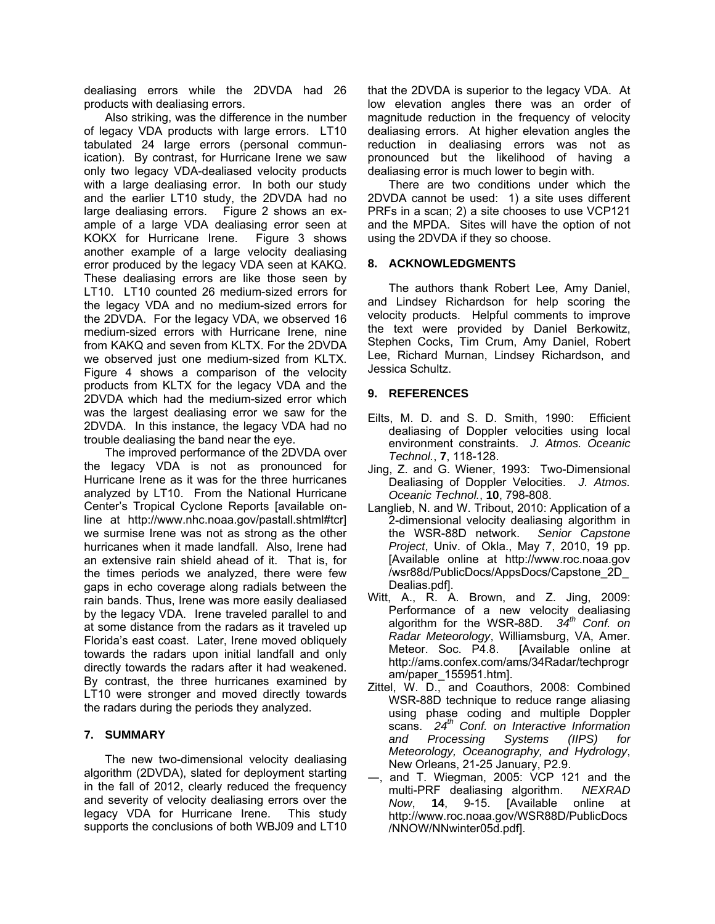dealiasing errors while the 2DVDA had 26 products with dealiasing errors.

Also striking, was the difference in the number of legacy VDA products with large errors. LT10 tabulated 24 large errors (personal communication). By contrast, for Hurricane Irene we saw only two legacy VDA-dealiased velocity products with a large dealiasing error. In both our study and the earlier LT10 study, the 2DVDA had no large dealiasing errors. Figure 2 shows an example of a large VDA dealiasing error seen at KOKX for Hurricane Irene. Figure 3 shows another example of a large velocity dealiasing error produced by the legacy VDA seen at KAKQ. These dealiasing errors are like those seen by LT10. LT10 counted 26 medium-sized errors for the legacy VDA and no medium-sized errors for the 2DVDA. For the legacy VDA, we observed 16 medium-sized errors with Hurricane Irene, nine from KAKQ and seven from KLTX. For the 2DVDA we observed just one medium-sized from KLTX. Figure 4 shows a comparison of the velocity products from KLTX for the legacy VDA and the 2DVDA which had the medium-sized error which was the largest dealiasing error we saw for the 2DVDA. In this instance, the legacy VDA had no trouble dealiasing the band near the eye.

The improved performance of the 2DVDA over the legacy VDA is not as pronounced for Hurricane Irene as it was for the three hurricanes analyzed by LT10. From the National Hurricane Center's Tropical Cyclone Reports [available online at http://www.nhc.noaa.gov/pastall.shtml#tcr] we surmise Irene was not as strong as the other hurricanes when it made landfall. Also, Irene had an extensive rain shield ahead of it. That is, for the times periods we analyzed, there were few gaps in echo coverage along radials between the rain bands. Thus, Irene was more easily dealiased by the legacy VDA. Irene traveled parallel to and at some distance from the radars as it traveled up Florida's east coast. Later, Irene moved obliquely towards the radars upon initial landfall and only directly towards the radars after it had weakened. By contrast, the three hurricanes examined by LT10 were stronger and moved directly towards the radars during the periods they analyzed.

# **7. SUMMARY**

The new two-dimensional velocity dealiasing algorithm (2DVDA), slated for deployment starting in the fall of 2012, clearly reduced the frequency and severity of velocity dealiasing errors over the legacy VDA for Hurricane Irene. This study supports the conclusions of both WBJ09 and LT10 that the 2DVDA is superior to the legacy VDA. At low elevation angles there was an order of magnitude reduction in the frequency of velocity dealiasing errors. At higher elevation angles the reduction in dealiasing errors was not as pronounced but the likelihood of having a dealiasing error is much lower to begin with.

There are two conditions under which the 2DVDA cannot be used: 1) a site uses different PRFs in a scan; 2) a site chooses to use VCP121 and the MPDA. Sites will have the option of not using the 2DVDA if they so choose.

## **8. ACKNOWLEDGMENTS**

The authors thank Robert Lee, Amy Daniel, and Lindsey Richardson for help scoring the velocity products. Helpful comments to improve the text were provided by Daniel Berkowitz, Stephen Cocks, Tim Crum, Amy Daniel, Robert Lee, Richard Murnan, Lindsey Richardson, and Jessica Schultz.

## **9. REFERENCES**

- Eilts, M. D. and S. D. Smith, 1990: Efficient dealiasing of Doppler velocities using local environment constraints. *J. Atmos. Oceanic Technol.*, **7**, 118-128.
- Jing, Z. and G. Wiener, 1993: Two-Dimensional Dealiasing of Doppler Velocities. *J. Atmos. Oceanic Technol.*, **10**, 798-808.
- Langlieb, N. and W. Tribout, 2010: Application of a 2-dimensional velocity dealiasing algorithm in<br>the WSR-88D network. Senior Capstone the WSR-88D network. *Project*, Univ. of Okla., May 7, 2010, 19 pp. [Available online at http://www.roc.noaa.gov /wsr88d/PublicDocs/AppsDocs/Capstone\_2D\_ Dealias.pdf].
- Witt, A., R. A. Brown, and Z. Jing, 2009: Performance of a new velocity dealiasing algorithm for the WSR-88D. *34th Conf. on Radar Meteorology*, Williamsburg, VA, Amer. Meteor. Soc. P4.8. [Available online at http://ams.confex.com/ams/34Radar/techprogr am/paper\_155951.htm].
- Zittel, W. D., and Coauthors, 2008: Combined WSR-88D technique to reduce range aliasing using phase coding and multiple Doppler scans. *24th Conf. on Interactive Information and Processing Systems (IIPS) for Meteorology, Oceanography, and Hydrology*, New Orleans, 21-25 January, P2.9.
- ―, and T. Wiegman, 2005: VCP 121 and the multi-PRF dealiasing algorithm. *NEXRAD Now*, **14**, 9-15. [Available online at http://www.roc.noaa.gov/WSR88D/PublicDocs /NNOW/NNwinter05d.pdf].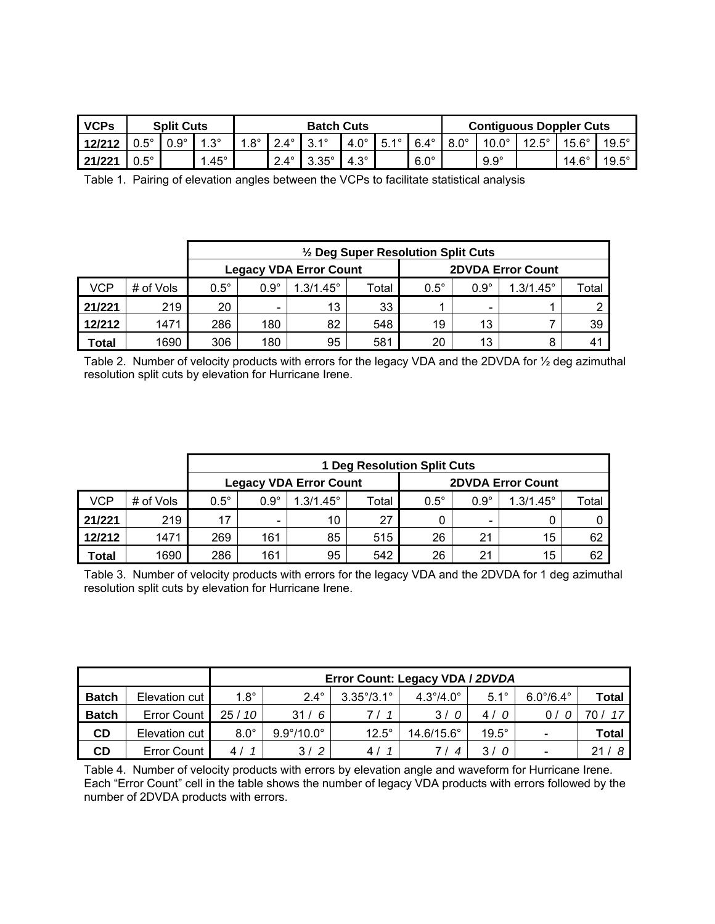| <b>VCPs</b> |             | <b>Split Cuts</b> |               | <b>Batch Cuts</b> |             |                      |             | <b>Contiguous Doppler Cuts</b> |             |             |              |              |              |              |
|-------------|-------------|-------------------|---------------|-------------------|-------------|----------------------|-------------|--------------------------------|-------------|-------------|--------------|--------------|--------------|--------------|
| 12/212      | $0.5^\circ$ | $0.9^\circ$       | $.3^\circ$    | $1.8^\circ$       | $2.4^\circ$ | $2.1^{\circ}$<br>، ت | $4.0^\circ$ | $5.1^\circ$                    | $6.4^\circ$ | $8.0^\circ$ | $10.0^\circ$ | $12.5^\circ$ | $15.6^\circ$ | $19.5^\circ$ |
| 21/221      | U E.<br>∪.∪ |                   | $.45^{\circ}$ |                   | $2.4^\circ$ | $3.35^\circ$         | $4.3^\circ$ |                                | $6.0^\circ$ |             | $9.9^\circ$  |              | $14.6^\circ$ | $19.5^\circ$ |

Table 1. Pairing of elevation angles between the VCPs to facilitate statistical analysis

|                               |           | $\frac{1}{2}$ Deg Super Resolution Split Cuts |             |                    |       |             |             |                          |              |  |  |
|-------------------------------|-----------|-----------------------------------------------|-------------|--------------------|-------|-------------|-------------|--------------------------|--------------|--|--|
| <b>Legacy VDA Error Count</b> |           |                                               |             |                    |       |             |             | <b>2DVDA Error Count</b> |              |  |  |
| VCP                           | # of Vols | $0.5^\circ$                                   | $0.9^\circ$ | $1.3/1.45^{\circ}$ | Total | $0.5^\circ$ | $0.9^\circ$ | $1.3/1.45^{\circ}$       | Total        |  |  |
| 21/221                        | 219       | 20                                            |             | 13                 | 33    |             |             |                          |              |  |  |
| 12/212                        | 1471      | 286                                           | 180         | 82                 | 548   | 19          | 13          |                          | 39           |  |  |
| Total                         | 1690      | 306                                           | 180         | 95                 | 581   | 20          | 13          | 8                        | $4^{\prime}$ |  |  |

Table 2. Number of velocity products with errors for the legacy VDA and the 2DVDA for 1/2 deg azimuthal resolution split cuts by elevation for Hurricane Irene.

|            |           | <b>1 Deg Resolution Split Cuts</b> |                              |                               |       |                          |             |                    |       |  |  |
|------------|-----------|------------------------------------|------------------------------|-------------------------------|-------|--------------------------|-------------|--------------------|-------|--|--|
|            |           |                                    |                              | <b>Legacy VDA Error Count</b> |       | <b>2DVDA Error Count</b> |             |                    |       |  |  |
| <b>VCP</b> | # of Vols | $0.5^\circ$                        | $0.9^\circ$                  | $1.3/1.45^{\circ}$            | Total | $0.5^\circ$              | $0.9^\circ$ | $1.3/1.45^{\circ}$ | Total |  |  |
| 21/221     | 219       | 17                                 | $\qquad \qquad \blacksquare$ | 10                            | 27    |                          |             |                    |       |  |  |
| 12/212     | 1471      | 269                                | 161                          | 85                            | 515   | 26                       | 21          | 15                 | 62    |  |  |
| Total      | 1690      | 286                                | 161                          | 95                            | 542   | 26                       | 21          | 15                 | 62    |  |  |

Table 3. Number of velocity products with errors for the legacy VDA and the 2DVDA for 1 deg azimuthal resolution split cuts by elevation for Hurricane Irene.

|              |                    | Error Count: Legacy VDA / 2DVDA |                            |                            |                           |              |                           |       |  |  |
|--------------|--------------------|---------------------------------|----------------------------|----------------------------|---------------------------|--------------|---------------------------|-------|--|--|
| <b>Batch</b> | Elevation cut      | $1.8^\circ$                     | $2.4^\circ$                | $3.35^{\circ}/3.1^{\circ}$ | $4.3^{\circ}/4.0^{\circ}$ | $5.1^\circ$  | $6.0^{\circ}/6.4^{\circ}$ | Total |  |  |
| <b>Batch</b> | <b>Error Count</b> | 25/10                           | 31/6                       | 711                        | 3/0                       | 4/0          | 0 /                       | 17    |  |  |
| CD           | Elevation cut      | $8.0^\circ$                     | $9.9^{\circ}/10.0^{\circ}$ | $12.5^\circ$               | 14.6/15.6°                | $19.5^\circ$ | $\blacksquare$            | Total |  |  |
| CD           | Error Count        | 41                              | 3/2                        | 4 /                        |                           | 3/           | -                         | 21/   |  |  |

Table 4. Number of velocity products with errors by elevation angle and waveform for Hurricane Irene. Each "Error Count" cell in the table shows the number of legacy VDA products with errors followed by the number of 2DVDA products with errors.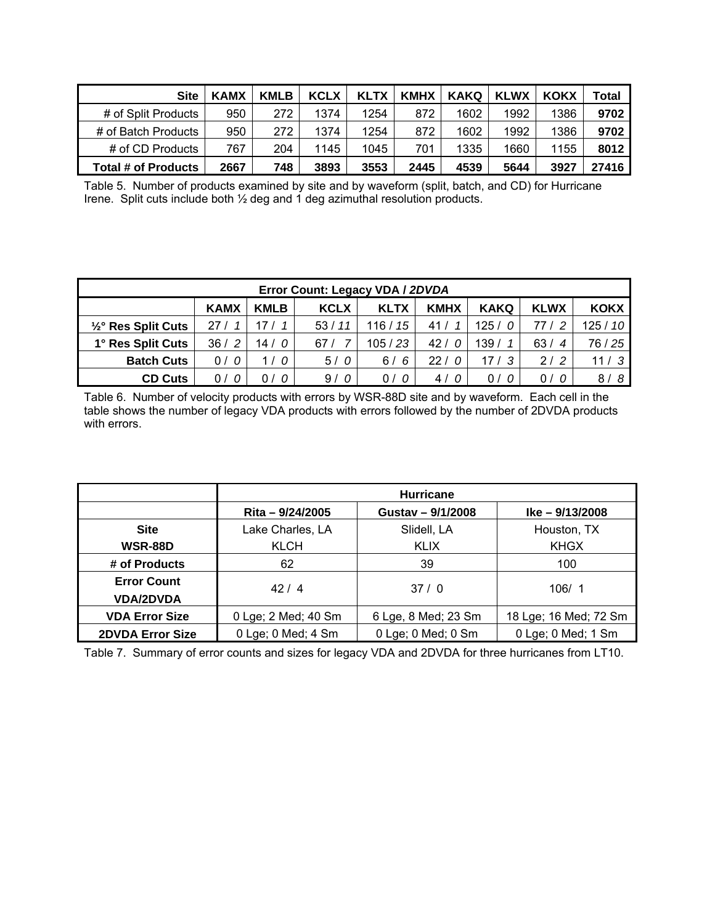| <b>Site</b>         | <b>KAMX</b> | <b>KMLB</b> | <b>KCLX</b> | <b>KLTX</b> | <b>KMHX</b> | KAKQ | <b>KLWX</b> | <b>KOKX</b> | Total |
|---------------------|-------------|-------------|-------------|-------------|-------------|------|-------------|-------------|-------|
| # of Split Products | 950         | 272         | 1374        | 1254        | 872         | 1602 | 1992        | 1386        | 9702  |
| # of Batch Products | 950         | 272         | 1374        | 1254        | 872         | 1602 | 1992        | 1386        | 9702  |
| # of CD Products    | 767         | 204         | 1145        | 1045        | 701         | 1335 | 1660        | 1155        | 8012  |
| Total # of Products | 2667        | 748         | 3893        | 3553        | 2445        | 4539 | 5644        | 3927        | 27416 |

Table 5. Number of products examined by site and by waveform (split, batch, and CD) for Hurricane Irene. Split cuts include both ½ deg and 1 deg azimuthal resolution products.

| Error Count: Legacy VDA / 2DVDA                                                                                      |           |       |       |            |     |            |                         |         |  |
|----------------------------------------------------------------------------------------------------------------------|-----------|-------|-------|------------|-----|------------|-------------------------|---------|--|
| <b>KMHX</b><br><b>KAKQ</b><br><b>KLWX</b><br><b>KCLX</b><br><b>KAMX</b><br><b>KLTX</b><br><b>KOKX</b><br><b>KMLB</b> |           |       |       |            |     |            |                         |         |  |
| 1/2° Res Split Cuts                                                                                                  | 27/       |       | 53/11 | 116/<br>15 | 41/ | 125/       | 77 /                    | 125/10  |  |
| 1° Res Split Cuts                                                                                                    | 36/<br>-2 | 14/0  | 67/   | 105/23     | 42/ | 139/       | 63/<br>$\boldsymbol{4}$ | 76 / 25 |  |
| <b>Batch Cuts</b>                                                                                                    | 0/        | - 0   | 5/0   | 6/<br>6    | 22/ | 17/3       | 2/2                     | 11/3    |  |
| <b>CD Cuts</b>                                                                                                       | 07        | 0 / 0 | 9/0   | 0/0        | 4/0 | 0 /<br>- 0 | 0/0                     | -8<br>8 |  |

Table 6. Number of velocity products with errors by WSR-88D site and by waveform. Each cell in the table shows the number of legacy VDA products with errors followed by the number of 2DVDA products with errors.

|                         | <b>Hurricane</b>    |                     |                       |  |  |  |  |  |  |
|-------------------------|---------------------|---------------------|-----------------------|--|--|--|--|--|--|
|                         | Rita - 9/24/2005    | Gustav - 9/1/2008   | $Ike - 9/13/2008$     |  |  |  |  |  |  |
| <b>Site</b>             | Lake Charles, LA    | Slidell, LA         | Houston, TX           |  |  |  |  |  |  |
| <b>WSR-88D</b>          | <b>KLCH</b>         | <b>KLIX</b>         | <b>KHGX</b>           |  |  |  |  |  |  |
| # of Products           | 62                  | 39                  | 100                   |  |  |  |  |  |  |
| <b>Error Count</b>      | 42/4                | 37/0                | 106/1                 |  |  |  |  |  |  |
| <b>VDA/2DVDA</b>        |                     |                     |                       |  |  |  |  |  |  |
| <b>VDA Error Size</b>   | 0 Lge; 2 Med; 40 Sm | 6 Lge, 8 Med; 23 Sm | 18 Lge; 16 Med; 72 Sm |  |  |  |  |  |  |
| <b>2DVDA Error Size</b> | 0 Lge; 0 Med; 4 Sm  | 0 Lge; 0 Med; 0 Sm  | 0 Lge; 0 Med; 1 Sm    |  |  |  |  |  |  |

Table 7. Summary of error counts and sizes for legacy VDA and 2DVDA for three hurricanes from LT10.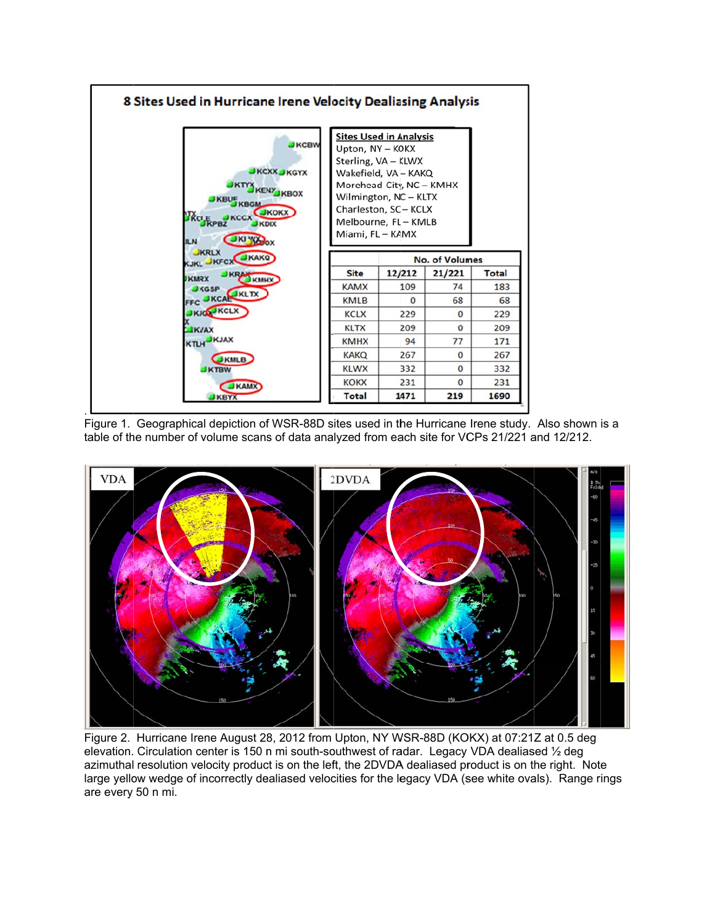





Figure 2. Hurricane Irene August 28, 2012 from Upton, NY WSR-88D (KOKX) at 07:21Z at 0.5 deg elevation. Circulation center is 150 n mi south-southwest of radar. Legacy VDA dealiased ½ deg azimuthal resolution velocity product is on the left, the 2DVDA dealiased product is on the right. Note large yellow wedge of incorrectly dealiased velocities for the legacy VDA (see white ovals). Range rings are every 50 n mi.